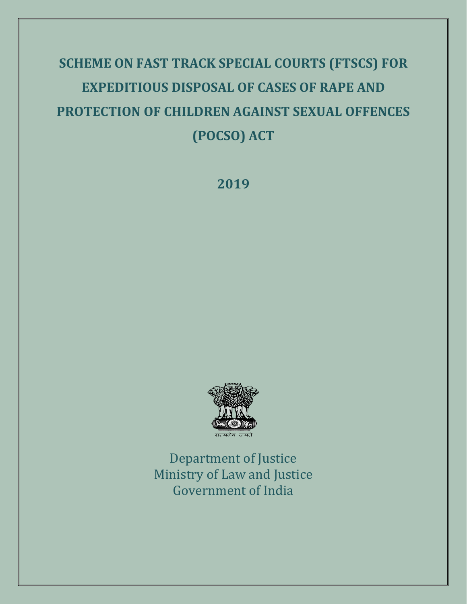# **SCHEME ON FAST TRACK SPECIAL COURTS (FTSCS) FOR EXPEDITIOUS DISPOSAL OF CASES OF RAPE AND PROTECTION OF CHILDREN AGAINST SEXUAL OFFENCES (POCSO) ACT**

**2019**



Department of Justice Ministry of Law and Justice Government of India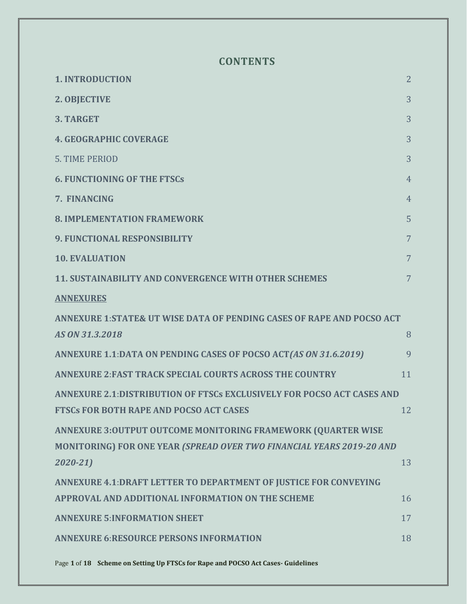## **CONTENTS**

| <b>1. INTRODUCTION</b>                                                  | $\overline{2}$ |
|-------------------------------------------------------------------------|----------------|
| 2. OBJECTIVE                                                            | 3              |
| 3. TARGET                                                               | 3              |
| <b>4. GEOGRAPHIC COVERAGE</b>                                           | 3              |
| <b>5. TIME PERIOD</b>                                                   | 3              |
| <b>6. FUNCTIONING OF THE FTSCs</b>                                      | 4              |
| 7. FINANCING                                                            | 4              |
| <b>8. IMPLEMENTATION FRAMEWORK</b>                                      | 5              |
| <b>9. FUNCTIONAL RESPONSIBILITY</b>                                     | 7              |
| <b>10. EVALUATION</b>                                                   | 7              |
| <b>11. SUSTAINABILITY AND CONVERGENCE WITH OTHER SCHEMES</b>            | 7              |
| <b>ANNEXURES</b>                                                        |                |
| ANNEXURE 1: STATE& UT WISE DATA OF PENDING CASES OF RAPE AND POCSO ACT  |                |
| AS ON 31.3.2018                                                         | 8              |
| ANNEXURE 1.1:DATA ON PENDING CASES OF POCSO ACT(AS ON 31.6.2019)        | 9              |
| <b>ANNEXURE 2: FAST TRACK SPECIAL COURTS ACROSS THE COUNTRY</b>         | 11             |
| ANNEXURE 2.1: DISTRIBUTION OF FTSCs EXCLUSIVELY FOR POCSO ACT CASES AND |                |
| <b>FTSCs FOR BOTH RAPE AND POCSO ACT CASES</b>                          | 12             |
| ANNEXURE 3:OUTPUT OUTCOME MONITORING FRAMEWORK (QUARTER WISE            |                |
| MONITORING) FOR ONE YEAR (SPREAD OVER TWO FINANCIAL YEARS 2019-20 AND   |                |
| $2020 - 21$                                                             | 13             |
| ANNEXURE 4.1: DRAFT LETTER TO DEPARTMENT OF JUSTICE FOR CONVEYING       |                |
| APPROVAL AND ADDITIONAL INFORMATION ON THE SCHEME                       | 16             |
| <b>ANNEXURE 5: INFORMATION SHEET</b>                                    | 17             |
| <b>ANNEXURE 6:RESOURCE PERSONS INFORMATION</b>                          | 18             |
|                                                                         |                |

Page **1** of **18 Scheme on Setting Up FTSCs for Rape and POCSO Act Cases- Guidelines**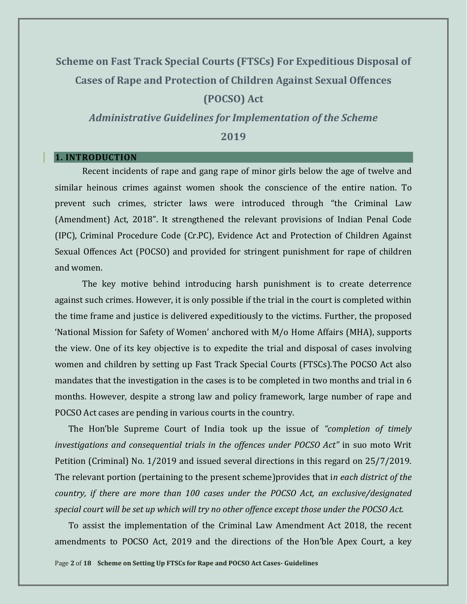# **Scheme on Fast Track Special Courts (FTSCs) For Expeditious Disposal of Cases of Rape and Protection of Children Against Sexual Offences (POCSO) Act**

*Administrative Guidelines for Implementation of the Scheme* **2019**

#### <span id="page-2-0"></span>**1. INTRODUCTION**

Recent incidents of rape and gang rape of minor girls below the age of twelve and similar heinous crimes against women shook the conscience of the entire nation. To prevent such crimes, stricter laws were introduced through "the Criminal Law (Amendment) Act, 2018". It strengthened the relevant provisions of Indian Penal Code (IPC), Criminal Procedure Code (Cr.PC), Evidence Act and Protection of Children Against Sexual Offences Act (POCSO) and provided for stringent punishment for rape of children and women.

The key motive behind introducing harsh punishment is to create deterrence against such crimes. However, it is only possible if the trial in the court is completed within the time frame and justice is delivered expeditiously to the victims. Further, the proposed 'National Mission for Safety of Women' anchored with M/o Home Affairs (MHA), supports the view. One of its key objective is to expedite the trial and disposal of cases involving women and children by setting up Fast Track Special Courts (FTSCs).The POCSO Act also mandates that the investigation in the cases is to be completed in two months and trial in 6 months. However, despite a strong law and policy framework, large number of rape and POCSO Act cases are pending in various courts in the country.

The Hon'ble Supreme Court of India took up the issue of *"completion of timely investigations and consequential trials in the offences under POCSO Act"* in suo moto Writ Petition (Criminal) No. 1/2019 and issued several directions in this regard on 25/7/2019. The relevant portion (pertaining to the present scheme)provides that i*n each district of the country, if there are more than 100 cases under the POCSO Act, an exclusive/designated special court will be set up which will try no other offence except those under the POCSO Act.* 

To assist the implementation of the Criminal Law Amendment Act 2018, the recent amendments to POCSO Act, 2019 and the directions of the Hon'ble Apex Court, a key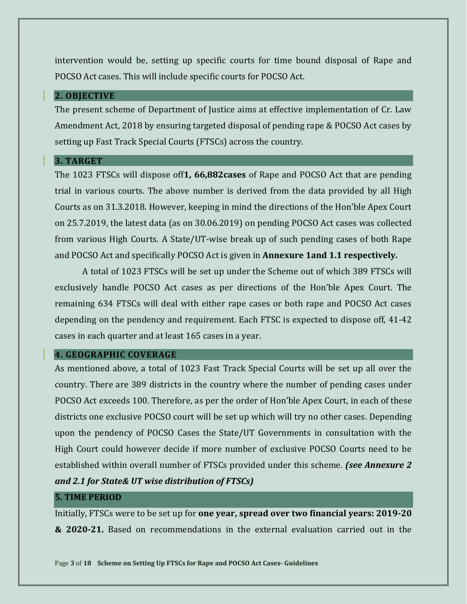intervention would be, setting up specific courts for time bound disposal of Rape and POCSO Act cases. This will include specific courts for POCSO Act.

#### <span id="page-3-0"></span>**2. OBJECTIVE**

The present scheme of Department of Justice aims at effective implementation of Cr. Law Amendment Act, 2018 by ensuring targeted disposal of pending rape & POCSO Act cases by setting up Fast Track Special Courts (FTSCs) across the country.

#### <span id="page-3-1"></span>**3. TARGET**

The 1023 FTSCs will dispose off**1, 66,882cases** of Rape and POCSO Act that are pending trial in various courts. The above number is derived from the data provided by all High Courts as on 31.3.2018. However, keeping in mind the directions of the Hon'ble Apex Court on 25.7.2019, the latest data (as on 30.06.2019) on pending POCSO Act cases was collected from various High Courts. A State/UT-wise break up of such pending cases of both Rape and POCSO Act and specifically POCSO Act is given in **Annexure 1and 1.1 respectively.**

A total of 1023 FTSCs will be set up under the Scheme out of which 389 FTSCs will exclusively handle POCSO Act cases as per directions of the Hon'ble Apex Court. The remaining 634 FTSCs will deal with either rape cases or both rape and POCSO Act cases depending on the pendency and requirement. Each FTSC is expected to dispose off, 41-42 cases in each quarter and at least 165 cases in a year.

#### <span id="page-3-2"></span>**4. GEOGRAPHIC COVERAGE**

As mentioned above, a total of 1023 Fast Track Special Courts will be set up all over the country. There are 389 districts in the country where the number of pending cases under POCSO Act exceeds 100. Therefore, as per the order of Hon'ble Apex Court, in each of these districts one exclusive POCSO court will be set up which will try no other cases. Depending upon the pendency of POCSO Cases the State/UT Governments in consultation with the High Court could however decide if more number of exclusive POCSO Courts need to be established within overall number of FTSCs provided under this scheme. *(see Annexure 2 and 2.1 for State& UT wise distribution of FTSCs)*

#### **5. TIME PERIOD**

Initially, FTSCs were to be set up for **one year, spread over two financial years: 2019-20 & 2020-21.** Based on recommendations in the external evaluation carried out in the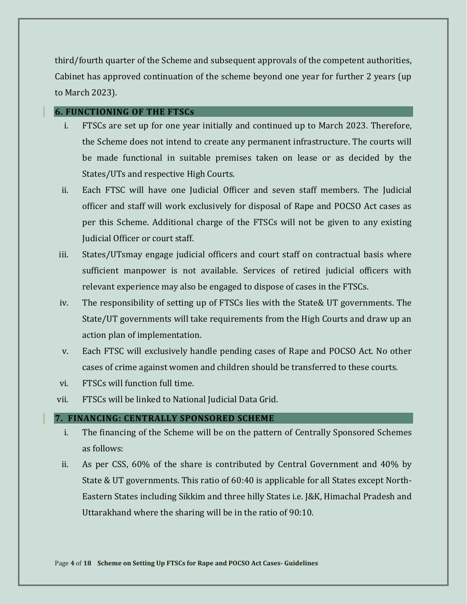third/fourth quarter of the Scheme and subsequent approvals of the competent authorities, Cabinet has approved continuation of the scheme beyond one year for further 2 years (up to March 2023).

## <span id="page-4-0"></span>**6. FUNCTIONING OF THE FTSCs**

- i. FTSCs are set up for one year initially and continued up to March 2023. Therefore, the Scheme does not intend to create any permanent infrastructure. The courts will be made functional in suitable premises taken on lease or as decided by the States/UTs and respective High Courts.
- ii. Each FTSC will have one Judicial Officer and seven staff members. The Judicial officer and staff will work exclusively for disposal of Rape and POCSO Act cases as per this Scheme. Additional charge of the FTSCs will not be given to any existing Judicial Officer or court staff.
- iii. States/UTsmay engage judicial officers and court staff on contractual basis where sufficient manpower is not available. Services of retired judicial officers with relevant experience may also be engaged to dispose of cases in the FTSCs.
- iv. The responsibility of setting up of FTSCs lies with the State& UT governments. The State/UT governments will take requirements from the High Courts and draw up an action plan of implementation.
- v. Each FTSC will exclusively handle pending cases of Rape and POCSO Act. No other cases of crime against women and children should be transferred to these courts.
- vi. FTSCs will function full time.
- vii. FTSCs will be linked to National Judicial Data Grid.

## <span id="page-4-1"></span>**7. FINANCING: CENTRALLY SPONSORED SCHEME**

- i. The financing of the Scheme will be on the pattern of Centrally Sponsored Schemes as follows:
- ii. As per CSS, 60% of the share is contributed by Central Government and 40% by State & UT governments. This ratio of 60:40 is applicable for all States except North-Eastern States including Sikkim and three hilly States i.e. J&K, Himachal Pradesh and Uttarakhand where the sharing will be in the ratio of 90:10.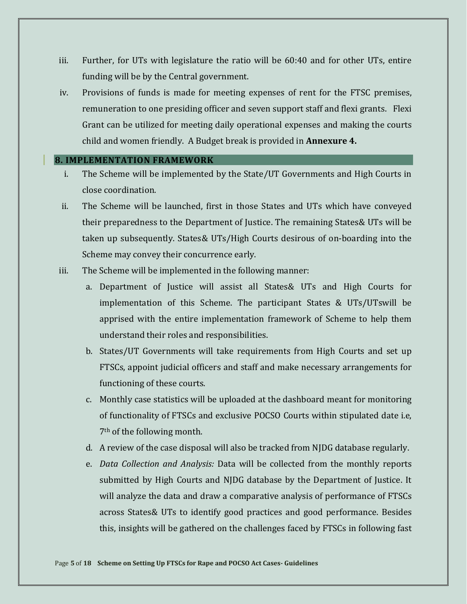- iii. Further, for UTs with legislature the ratio will be 60:40 and for other UTs, entire funding will be by the Central government.
- iv. Provisions of funds is made for meeting expenses of rent for the FTSC premises, remuneration to one presiding officer and seven support staff and flexi grants. Flexi Grant can be utilized for meeting daily operational expenses and making the courts child and women friendly. A Budget break is provided in **Annexure 4.**

#### <span id="page-5-0"></span>**8. IMPLEMENTATION FRAMEWORK**

- i. The Scheme will be implemented by the State/UT Governments and High Courts in close coordination.
- ii. The Scheme will be launched, first in those States and UTs which have conveyed their preparedness to the Department of Justice. The remaining States& UTs will be taken up subsequently. States& UTs/High Courts desirous of on-boarding into the Scheme may convey their concurrence early.
- iii. The Scheme will be implemented in the following manner:
	- a. Department of Justice will assist all States& UTs and High Courts for implementation of this Scheme. The participant States & UTs/UTswill be apprised with the entire implementation framework of Scheme to help them understand their roles and responsibilities.
	- b. States/UT Governments will take requirements from High Courts and set up FTSCs, appoint judicial officers and staff and make necessary arrangements for functioning of these courts.
	- c. Monthly case statistics will be uploaded at the dashboard meant for monitoring of functionality of FTSCs and exclusive POCSO Courts within stipulated date i.e, 7th of the following month.
	- d. A review of the case disposal will also be tracked from NJDG database regularly.
	- e. *Data Collection and Analysis:* Data will be collected from the monthly reports submitted by High Courts and NJDG database by the Department of Justice. It will analyze the data and draw a comparative analysis of performance of FTSCs across States& UTs to identify good practices and good performance. Besides this, insights will be gathered on the challenges faced by FTSCs in following fast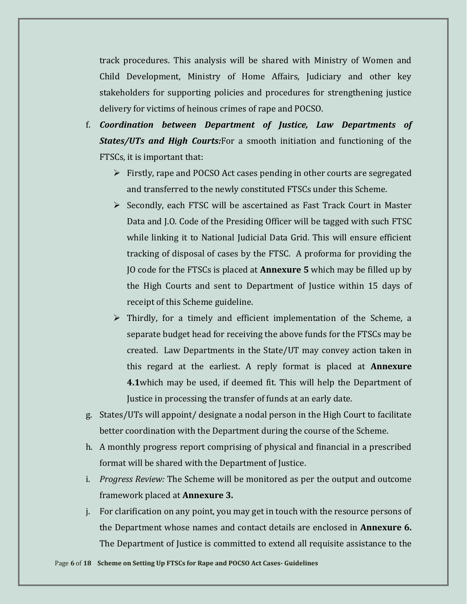track procedures. This analysis will be shared with Ministry of Women and Child Development, Ministry of Home Affairs, Judiciary and other key stakeholders for supporting policies and procedures for strengthening justice delivery for victims of heinous crimes of rape and POCSO.

- f. *Coordination between Department of Justice, Law Departments of States/UTs and High Courts:*For a smooth initiation and functioning of the FTSCs, it is important that:
	- ➢ Firstly, rape and POCSO Act cases pending in other courts are segregated and transferred to the newly constituted FTSCs under this Scheme.
	- ➢ Secondly, each FTSC will be ascertained as Fast Track Court in Master Data and J.O. Code of the Presiding Officer will be tagged with such FTSC while linking it to National Judicial Data Grid. This will ensure efficient tracking of disposal of cases by the FTSC. A proforma for providing the JO code for the FTSCs is placed at **Annexure 5** which may be filled up by the High Courts and sent to Department of Justice within 15 days of receipt of this Scheme guideline.
	- ➢ Thirdly, for a timely and efficient implementation of the Scheme, a separate budget head for receiving the above funds for the FTSCs may be created. Law Departments in the State/UT may convey action taken in this regard at the earliest. A reply format is placed at **Annexure 4.1**which may be used, if deemed fit. This will help the Department of Justice in processing the transfer of funds at an early date.
- g. States/UTs will appoint/ designate a nodal person in the High Court to facilitate better coordination with the Department during the course of the Scheme.
- h. A monthly progress report comprising of physical and financial in a prescribed format will be shared with the Department of Justice.
- i. *Progress Review:* The Scheme will be monitored as per the output and outcome framework placed at **Annexure 3.**
- j. For clarification on any point, you may get in touch with the resource persons of the Department whose names and contact details are enclosed in **Annexure 6.**  The Department of Justice is committed to extend all requisite assistance to the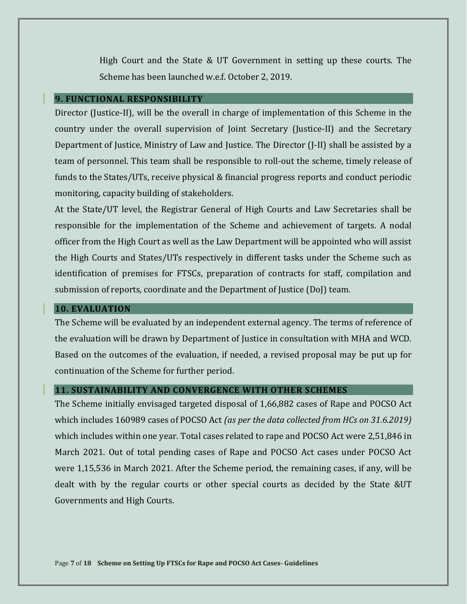High Court and the State & UT Government in setting up these courts. The Scheme has been launched w.e.f. October 2, 2019.

#### <span id="page-7-0"></span>**9. FUNCTIONAL RESPONSIBILITY**

Director (Justice-II), will be the overall in charge of implementation of this Scheme in the country under the overall supervision of Joint Secretary (Justice-II) and the Secretary Department of Justice, Ministry of Law and Justice. The Director (J-II) shall be assisted by a team of personnel. This team shall be responsible to roll-out the scheme, timely release of funds to the States/UTs, receive physical & financial progress reports and conduct periodic monitoring, capacity building of stakeholders.

At the State/UT level, the Registrar General of High Courts and Law Secretaries shall be responsible for the implementation of the Scheme and achievement of targets. A nodal officer from the High Court as well as the Law Department will be appointed who will assist the High Courts and States/UTs respectively in different tasks under the Scheme such as identification of premises for FTSCs, preparation of contracts for staff, compilation and submission of reports, coordinate and the Department of Justice (DoJ) team.

#### <span id="page-7-1"></span>**10. EVALUATION**

The Scheme will be evaluated by an independent external agency. The terms of reference of the evaluation will be drawn by Department of Justice in consultation with MHA and WCD. Based on the outcomes of the evaluation, if needed, a revised proposal may be put up for continuation of the Scheme for further period.

#### <span id="page-7-2"></span>**11. SUSTAINABILITY AND CONVERGENCE WITH OTHER SCHEMES**

The Scheme initially envisaged targeted disposal of 1,66,882 cases of Rape and POCSO Act which includes 160989 cases of POCSO Act *(as per the data collected from HCs on 31.6.2019)* which includes within one year. Total cases related to rape and POCSO Act were 2,51,846 in March 2021. Out of total pending cases of Rape and POCSO Act cases under POCSO Act were 1,15,536 in March 2021. After the Scheme period, the remaining cases, if any, will be dealt with by the regular courts or other special courts as decided by the State &UT Governments and High Courts.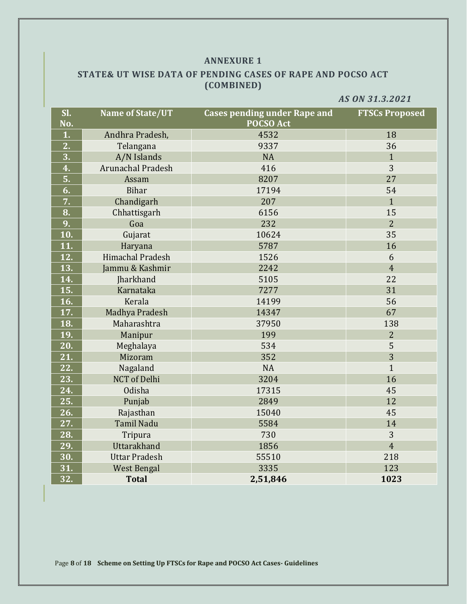#### **ANNEXURE 1**

## <span id="page-8-1"></span><span id="page-8-0"></span>**STATE& UT WISE DATA OF PENDING CASES OF RAPE AND POCSO ACT (COMBINED)**

*AS ON 31.3.2021*

<span id="page-8-2"></span>

| SI.<br>No.       | <b>Name of State/UT</b>  | <b>Cases pending under Rape and</b><br><b>POCSO Act</b> | <b>FTSCs Proposed</b> |
|------------------|--------------------------|---------------------------------------------------------|-----------------------|
| 1.               | Andhra Pradesh,          | 4532                                                    | 18                    |
| 2.               | Telangana                | 9337                                                    | 36                    |
| $\overline{3}$ . | A/N Islands              | <b>NA</b>                                               | $\mathbf{1}$          |
| $\overline{4}$ . | <b>Arunachal Pradesh</b> | 416                                                     | 3                     |
| 5.               | Assam                    | 8207                                                    | 27                    |
| 6.               | <b>Bihar</b>             | 17194                                                   | 54                    |
| 7.               | Chandigarh               | 207                                                     | $\mathbf{1}$          |
| 8.               | Chhattisgarh             | 6156                                                    | 15                    |
| 9.               | Goa                      | 232                                                     | $\overline{2}$        |
| 10.              | Gujarat                  | 10624                                                   | 35                    |
| 11.              | Haryana                  | 5787                                                    | 16                    |
| 12.              | <b>Himachal Pradesh</b>  | 1526                                                    | 6                     |
| 13.              | Jammu & Kashmir          | 2242                                                    | $\overline{4}$        |
| 14.              | Jharkhand                | 5105                                                    | 22                    |
| 15.              | Karnataka                | 7277                                                    | 31                    |
| 16.              | Kerala                   | 14199                                                   | 56                    |
| 17.              | Madhya Pradesh           | 14347                                                   | 67                    |
| 18.              | Maharashtra              | 37950                                                   | 138                   |
| 19.              | Manipur                  | 199                                                     | 2                     |
| 20.              | Meghalaya                | 534                                                     | 5                     |
| 21.              | Mizoram                  | 352                                                     | 3                     |
| 22.              | Nagaland                 | <b>NA</b>                                               | $\mathbf{1}$          |
| 23.              | <b>NCT</b> of Delhi      | 3204                                                    | 16                    |
| 24.              | Odisha                   | 17315                                                   | 45                    |
| 25.              | Punjab                   | 2849                                                    | 12                    |
| 26.              | Rajasthan                | 15040                                                   | 45                    |
| 27.              | <b>Tamil Nadu</b>        | 5584                                                    | 14                    |
| 28.              | Tripura                  | 730                                                     | 3                     |
| 29.              | Uttarakhand              | 1856                                                    | $\overline{4}$        |
| 30.              | <b>Uttar Pradesh</b>     | 55510                                                   | 218                   |
| 31.              | <b>West Bengal</b>       | 3335                                                    | 123                   |
| 32.              | <b>Total</b>             | 2,51,846                                                | 1023                  |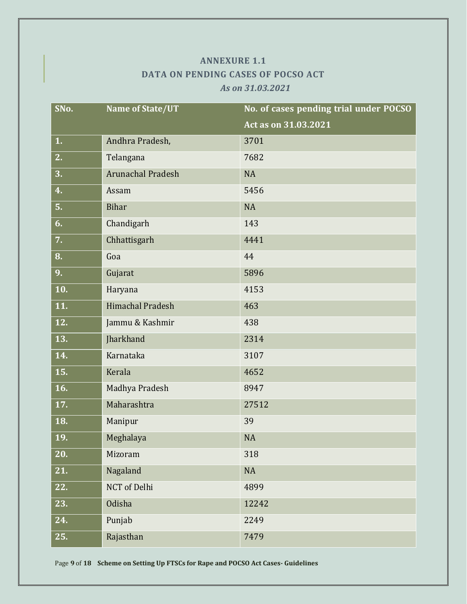## **ANNEXURE 1.1 DATA ON PENDING CASES OF POCSO ACT**  *As on 31.03.2021*

<span id="page-9-1"></span><span id="page-9-0"></span>

| SNo. | Name of State/UT         | No. of cases pending trial under POCSO |
|------|--------------------------|----------------------------------------|
|      |                          | Act as on 31.03.2021                   |
| 1.   | Andhra Pradesh,          | 3701                                   |
| 2.   | Telangana                | 7682                                   |
| 3.   | <b>Arunachal Pradesh</b> | <b>NA</b>                              |
| 4.   | Assam                    | 5456                                   |
| 5.   | <b>Bihar</b>             | <b>NA</b>                              |
| 6.   | Chandigarh               | 143                                    |
| 7.   | Chhattisgarh             | 4441                                   |
| 8.   | Goa                      | 44                                     |
| 9.   | Gujarat                  | 5896                                   |
| 10.  | Haryana                  | 4153                                   |
| 11.  | <b>Himachal Pradesh</b>  | 463                                    |
| 12.  | Jammu & Kashmir          | 438                                    |
| 13.  | Jharkhand                | 2314                                   |
| 14.  | Karnataka                | 3107                                   |
| 15.  | Kerala                   | 4652                                   |
| 16.  | Madhya Pradesh           | 8947                                   |
| 17.  | Maharashtra              | 27512                                  |
| 18.  | Manipur                  | 39                                     |
| 19.  | Meghalaya                | <b>NA</b>                              |
| 20.  | Mizoram                  | 318                                    |
| 21.  | Nagaland                 | NA                                     |
| 22.  | <b>NCT</b> of Delhi      | 4899                                   |
| 23.  | Odisha                   | 12242                                  |
| 24.  | Punjab                   | 2249                                   |
| 25.  | Rajasthan                | 7479                                   |

Page **9** of **18 Scheme on Setting Up FTSCs for Rape and POCSO Act Cases- Guidelines**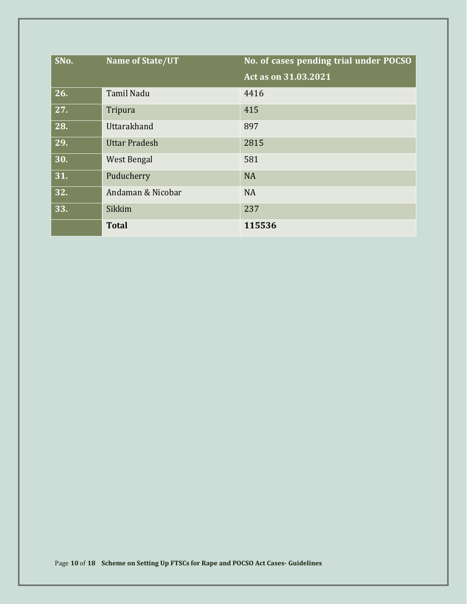| SNo. | Name of State/UT     | No. of cases pending trial under POCSO |
|------|----------------------|----------------------------------------|
|      |                      | Act as on 31.03.2021                   |
| 26.  | <b>Tamil Nadu</b>    | 4416                                   |
| 27.  | Tripura              | 415                                    |
| 28.  | Uttarakhand          | 897                                    |
| 29.  | <b>Uttar Pradesh</b> | 2815                                   |
| 30.  | West Bengal          | 581                                    |
| 31.  | Puducherry           | <b>NA</b>                              |
| 32.  | Andaman & Nicobar    | <b>NA</b>                              |
| 33.  | Sikkim               | 237                                    |
|      | <b>Total</b>         | 115536                                 |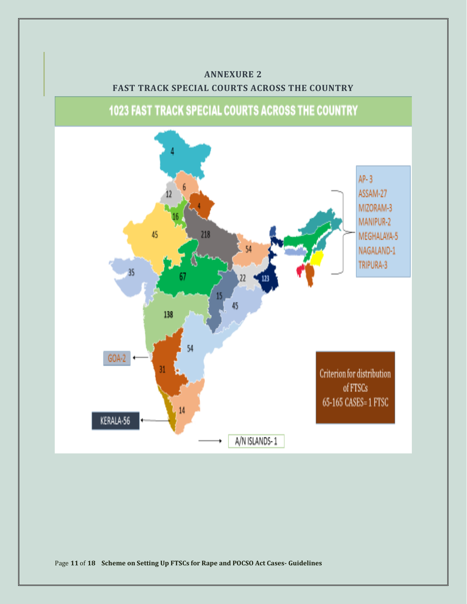# <span id="page-11-0"></span>**ANNEXURE 2 FAST TRACK SPECIAL COURTS ACROSS THE COUNTRY**

**1023 FAST TRACK SPECIAL COURTS ACROSS THE COUNTRY** 

<span id="page-11-1"></span>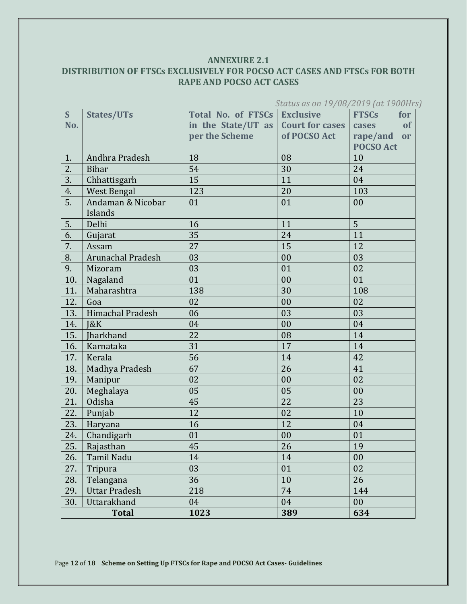## <span id="page-12-1"></span><span id="page-12-0"></span>**ANNEXURE 2.1 DISTRIBUTION OF FTSCs EXCLUSIVELY FOR POCSO ACT CASES AND FTSCs FOR BOTH RAPE AND POCSO ACT CASES**

| S   | <b>States/UTs</b>        | <b>Total No. of FTSCs Exclusive</b> |                        | <b>FTSCs</b><br>for   |
|-----|--------------------------|-------------------------------------|------------------------|-----------------------|
| No. |                          | in the State/UT as                  | <b>Court for cases</b> | <b>of</b><br>cases    |
|     |                          | per the Scheme                      | of POCSO Act           | rape/and<br><b>or</b> |
|     |                          |                                     |                        | <b>POCSO Act</b>      |
| 1.  | Andhra Pradesh           | 18                                  | 08                     | 10                    |
| 2.  | <b>Bihar</b>             | 54                                  | 30                     | 24                    |
| 3.  | Chhattisgarh             | 15                                  | 11                     | 04                    |
| 4.  | <b>West Bengal</b>       | 123                                 | 20                     | 103                   |
| 5.  | Andaman & Nicobar        | 01                                  | 01                     | 00                    |
|     | Islands                  |                                     |                        |                       |
| 5.  | Delhi                    | 16                                  | 11                     | 5                     |
| 6.  | Gujarat                  | 35                                  | 24                     | 11                    |
| 7.  | Assam                    | 27                                  | 15                     | 12                    |
| 8.  | <b>Arunachal Pradesh</b> | 03                                  | 00                     | 03                    |
| 9.  | Mizoram                  | 03                                  | 01                     | 02                    |
| 10. | Nagaland                 | 01                                  | 00                     | 01                    |
| 11. | Maharashtra              | 138                                 | 30                     | 108                   |
| 12. | Goa                      | 02                                  | 00                     | 02                    |
| 13. | Himachal Pradesh         | 06                                  | 03                     | 03                    |
| 14. | 18K                      | 04                                  | 00                     | 04                    |
| 15. | Jharkhand                | 22                                  | 08                     | 14                    |
| 16. | Karnataka                | 31                                  | 17                     | 14                    |
| 17. | Kerala                   | 56                                  | 14                     | 42                    |
| 18. | Madhya Pradesh           | 67                                  | 26                     | 41                    |
| 19. | Manipur                  | 02                                  | 00                     | 02                    |
| 20. | Meghalaya                | 05                                  | 05                     | 00                    |
| 21. | Odisha                   | 45                                  | 22                     | 23                    |
| 22. | Punjab                   | 12                                  | 02                     | 10                    |
| 23. | Haryana                  | 16                                  | 12                     | 04                    |
| 24. | Chandigarh               | 01                                  | 00                     | 01                    |
| 25. | Rajasthan                | 45                                  | 26                     | 19                    |
| 26. | Tamil Nadu               | 14                                  | 14                     | 00                    |
| 27. | Tripura                  | 03                                  | 01                     | 02                    |
| 28. | Telangana                | 36                                  | 10                     | 26                    |
| 29. | <b>Uttar Pradesh</b>     | 218                                 | 74                     | 144                   |
| 30. | Uttarakhand              | 04                                  | 04                     | 00                    |
|     | <b>Total</b>             | 1023                                | 389                    | 634                   |

*Status as on 19/08/2019 (at 1900Hrs)* 

Page **12** of **18 Scheme on Setting Up FTSCs for Rape and POCSO Act Cases- Guidelines**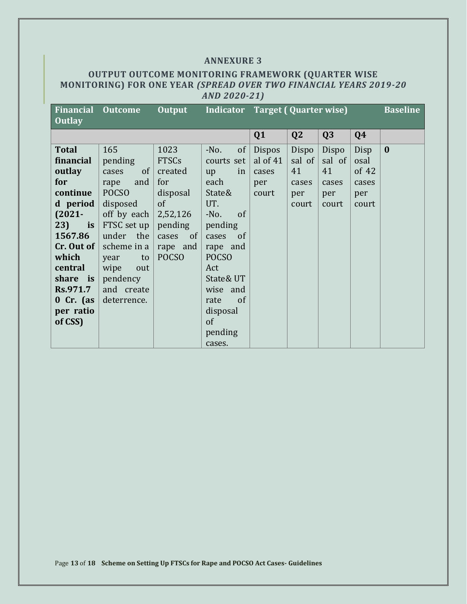#### **ANNEXURE 3**

## <span id="page-13-1"></span><span id="page-13-0"></span>**OUTPUT OUTCOME MONITORING FRAMEWORK (QUARTER WISE MONITORING) FOR ONE YEAR** *(SPREAD OVER TWO FINANCIAL YEARS 2019-20 AND 2020-21)*

| <b>Financial Outcome</b> |              | <b>Output</b> | Indicator Target (Quarter wise) |            |                |        |       | <b>Baseline</b> |
|--------------------------|--------------|---------------|---------------------------------|------------|----------------|--------|-------|-----------------|
| <b>Outlay</b>            |              |               |                                 |            |                |        |       |                 |
|                          |              |               |                                 | Q1         | Q <sub>2</sub> | Q3     | Q4    |                 |
| <b>Total</b>             | 165          | 1023          | $-No.$<br>of                    | Dispos     | Dispo          | Dispo  | Disp  | $\bf{0}$        |
| financial                | pending      | <b>FTSCs</b>  | courts set                      | al of $41$ | sal of         | sal of | osal  |                 |
| outlay                   | of<br>cases  | created       | in<br>up                        | cases      | 41             | 41     | of 42 |                 |
| for                      | and<br>rape  | for           | each                            | per        | cases          | cases  | cases |                 |
| continue                 | <b>POCSO</b> | disposal      | State&                          | court      | per            | per    | per   |                 |
| d period                 | disposed     | of            | UT.                             |            | court          | court  | court |                 |
| $(2021 -$                | off by each  | 2,52,126      | $-N0$ .<br><sub>of</sub>        |            |                |        |       |                 |
| $23$ ) is                | FTSC set up  | pending       | pending                         |            |                |        |       |                 |
| 1567.86                  | under the    | of<br>cases   | cases<br><sub>of</sub>          |            |                |        |       |                 |
| $Cr.$ Out of $ $         | scheme in a  | rape and      | rape and                        |            |                |        |       |                 |
| which                    | to<br>year   | <b>POCSO</b>  | <b>POCSO</b>                    |            |                |        |       |                 |
| central                  | wipe<br>out  |               | Act                             |            |                |        |       |                 |
| share is                 | pendency     |               | State& UT                       |            |                |        |       |                 |
| Rs.971.7                 | and create   |               | wise and                        |            |                |        |       |                 |
| $0$ Cr. (as              | deterrence.  |               | rate<br>of                      |            |                |        |       |                 |
| per ratio                |              |               | disposal                        |            |                |        |       |                 |
| of CSS)                  |              |               | of                              |            |                |        |       |                 |
|                          |              |               | pending                         |            |                |        |       |                 |
|                          |              |               | cases.                          |            |                |        |       |                 |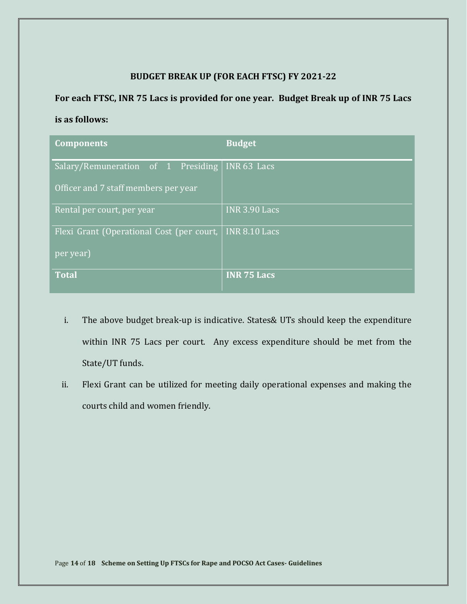## **BUDGET BREAK UP (FOR EACH FTSC) FY 2021-22**

## **For each FTSC, INR 75 Lacs is provided for one year. Budget Break up of INR 75 Lacs**

## **is as follows:**

| <b>Components</b>                         | <b>Budget</b>        |
|-------------------------------------------|----------------------|
| Salary/Remuneration of 1 Presiding        | INR 63 Lacs          |
| Officer and 7 staff members per year      |                      |
| Rental per court, per year                | <b>INR 3.90 Lacs</b> |
| Flexi Grant (Operational Cost (per court, | <b>INR 8.10 Lacs</b> |
| per year)                                 |                      |
| <b>Total</b>                              | <b>INR 75 Lacs</b>   |

- i. The above budget break-up is indicative. States& UTs should keep the expenditure within INR 75 Lacs per court. Any excess expenditure should be met from the State/UT funds.
- ii. Flexi Grant can be utilized for meeting daily operational expenses and making the courts child and women friendly.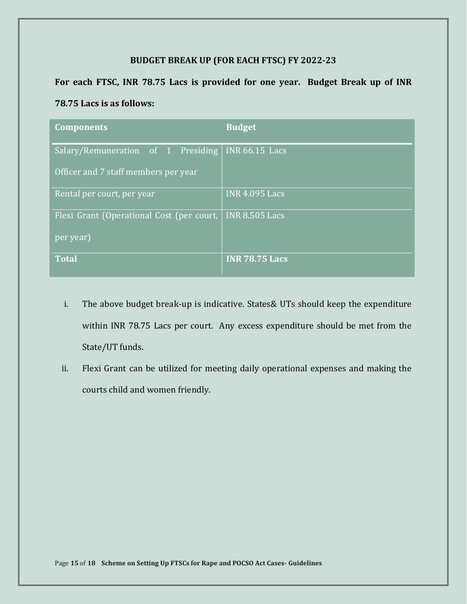## **BUDGET BREAK UP (FOR EACH FTSC) FY 2022-23**

**For each FTSC, INR 78.75 Lacs is provided for one year. Budget Break up of INR** 

#### **78.75 Lacs is as follows:**

| <b>Components</b>                         | <b>Budget</b>         |
|-------------------------------------------|-----------------------|
| Salary/Remuneration of 1 Presiding        | <b>INR 66.15 Lacs</b> |
| Officer and 7 staff members per year      |                       |
| Rental per court, per year                | <b>INR 4.095 Lacs</b> |
| Flexi Grant (Operational Cost (per court, | <b>INR 8.505 Lacs</b> |
| per year)                                 |                       |
| <b>Total</b>                              | <b>INR 78.75 Lacs</b> |

- i. The above budget break-up is indicative. States& UTs should keep the expenditure within INR 78.75 Lacs per court. Any excess expenditure should be met from the State/UT funds.
- ii. Flexi Grant can be utilized for meeting daily operational expenses and making the courts child and women friendly.

Page **15** of **18 Scheme on Setting Up FTSCs for Rape and POCSO Act Cases- Guidelines**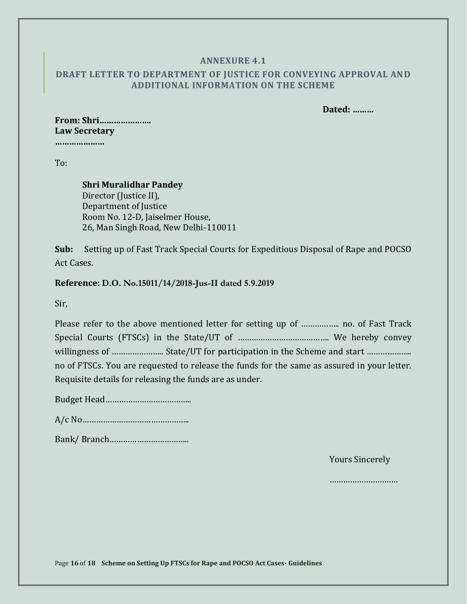#### **ANNEXURE 4.1**

## <span id="page-16-1"></span><span id="page-16-0"></span>**DRAFT LETTER TO DEPARTMENT OF JUSTICE FOR CONVEYING APPROVAL AND ADDITIONAL INFORMATION ON THE SCHEME**

 **Dated: ………**

## **From: Shri…………………. Law Secretary**

**…………………**

To:

### **Shri Muralidhar Pandey** Director (Justice II), Department of Justice Room No. 12-D, Jaiselmer House, 26, Man Singh Road, New Delhi-110011

**Sub:** Setting up of Fast Track Special Courts for Expeditious Disposal of Rape and POCSO Act Cases.

**Reference: D.O. No.15011/14/2018-Jus-II dated 5.9.2019**

Sir,

| Please refer to the above mentioned letter for setting up of  no. of Fast Track             |  |  |  |
|---------------------------------------------------------------------------------------------|--|--|--|
|                                                                                             |  |  |  |
|                                                                                             |  |  |  |
| no of FTSCs. You are requested to release the funds for the same as assured in your letter. |  |  |  |
| Requisite details for releasing the funds are as under.                                     |  |  |  |

Budget Head………………………………..

A/c No………………………………………..

Bank/ Branch……………………………..

Yours Sincerely

…………………………

Page **16** of **18 Scheme on Setting Up FTSCs for Rape and POCSO Act Cases- Guidelines**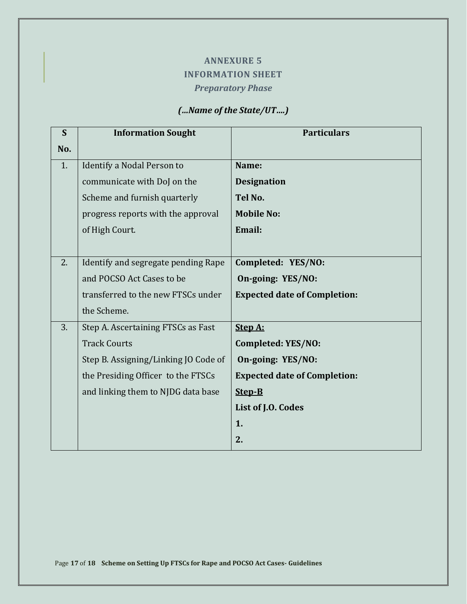# **ANNEXURE 5 INFORMATION SHEET** *Preparatory Phase*

## *(…Name of the State/UT….)*

<span id="page-17-1"></span><span id="page-17-0"></span>

| S   | <b>Information Sought</b>            | <b>Particulars</b>                  |
|-----|--------------------------------------|-------------------------------------|
| No. |                                      |                                     |
| 1.  | Identify a Nodal Person to           | Name:                               |
|     | communicate with DoJ on the          | <b>Designation</b>                  |
|     | Scheme and furnish quarterly         | Tel No.                             |
|     | progress reports with the approval   | <b>Mobile No:</b>                   |
|     | of High Court.                       | Email:                              |
|     |                                      |                                     |
| 2.  | Identify and segregate pending Rape  | Completed: YES/NO:                  |
|     | and POCSO Act Cases to be            | On-going: YES/NO:                   |
|     | transferred to the new FTSCs under   | <b>Expected date of Completion:</b> |
|     | the Scheme.                          |                                     |
| 3.  | Step A. Ascertaining FTSCs as Fast   | Step A:                             |
|     | <b>Track Courts</b>                  | Completed: YES/NO:                  |
|     | Step B. Assigning/Linking JO Code of | On-going: YES/NO:                   |
|     | the Presiding Officer to the FTSCs   | <b>Expected date of Completion:</b> |
|     | and linking them to NJDG data base   | Step-B                              |
|     |                                      | List of J.O. Codes                  |
|     |                                      | 1.                                  |
|     |                                      | 2.                                  |

Page **17** of **18 Scheme on Setting Up FTSCs for Rape and POCSO Act Cases- Guidelines**